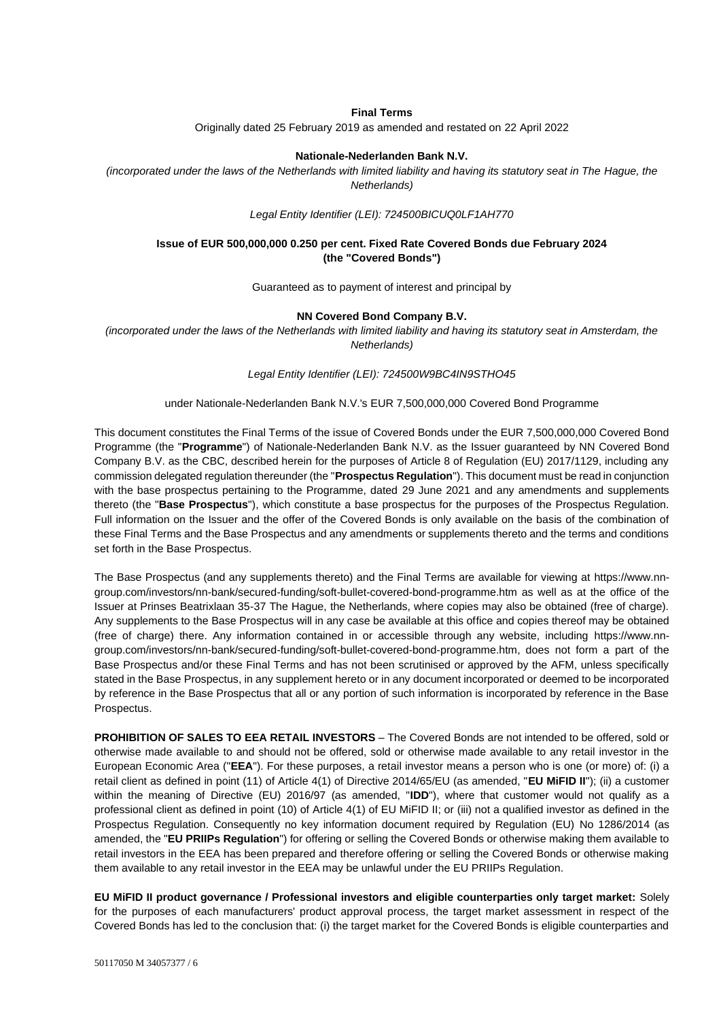### **Final Terms**

Originally dated 25 February 2019 as amended and restated on 22 April 2022

#### **Nationale-Nederlanden Bank N.V.**

*(incorporated under the laws of the Netherlands with limited liability and having its statutory seat in The Hague, the Netherlands)*

*Legal Entity Identifier (LEI): 724500BICUQ0LF1AH770*

### **Issue of EUR 500,000,000 0.250 per cent. Fixed Rate Covered Bonds due February 2024 (the "Covered Bonds")**

Guaranteed as to payment of interest and principal by

#### **NN Covered Bond Company B.V.**

*(incorporated under the laws of the Netherlands with limited liability and having its statutory seat in Amsterdam, the Netherlands)*

*Legal Entity Identifier (LEI): 724500W9BC4IN9STHO45*

#### under Nationale-Nederlanden Bank N.V.'s EUR 7,500,000,000 Covered Bond Programme

This document constitutes the Final Terms of the issue of Covered Bonds under the EUR 7,500,000,000 Covered Bond Programme (the "**Programme**") of Nationale-Nederlanden Bank N.V. as the Issuer guaranteed by NN Covered Bond Company B.V. as the CBC, described herein for the purposes of Article 8 of Regulation (EU) 2017/1129, including any commission delegated regulation thereunder (the "**Prospectus Regulation**"). This document must be read in conjunction with the base prospectus pertaining to the Programme, dated 29 June 2021 and any amendments and supplements thereto (the "**Base Prospectus**"), which constitute a base prospectus for the purposes of the Prospectus Regulation. Full information on the Issuer and the offer of the Covered Bonds is only available on the basis of the combination of these Final Terms and the Base Prospectus and any amendments or supplements thereto and the terms and conditions set forth in the Base Prospectus.

The Base Prospectus (and any supplements thereto) and the Final Terms are available for viewing at [https://www.nn](https://www.nn-group.com/investors/nn-bank/secured-funding/soft-bullet-covered-bond-programme.htm)[group.com/investors/nn-bank/secured-funding/soft-bullet-covered-bond-programme.htm](https://www.nn-group.com/investors/nn-bank/secured-funding/soft-bullet-covered-bond-programme.htm) as well as at the office of the Issuer at Prinses Beatrixlaan 35-37 The Hague, the Netherlands, where copies may also be obtained (free of charge). Any supplements to the Base Prospectus will in any case be available at this office and copies thereof may be obtained (free of charge) there. Any information contained in or accessible through any website, including [https://www.nn](https://www.nn-group.com/investors/nn-bank/secured-funding/soft-bullet-covered-bond-programme.htm)[group.com/investors/nn-bank/secured-funding/soft-bullet-covered-bond-programme.htm,](https://www.nn-group.com/investors/nn-bank/secured-funding/soft-bullet-covered-bond-programme.htm) does not form a part of the Base Prospectus and/or these Final Terms and has not been scrutinised or approved by the AFM, unless specifically stated in the Base Prospectus, in any supplement hereto or in any document incorporated or deemed to be incorporated by reference in the Base Prospectus that all or any portion of such information is incorporated by reference in the Base Prospectus.

**PROHIBITION OF SALES TO EEA RETAIL INVESTORS** – The Covered Bonds are not intended to be offered, sold or otherwise made available to and should not be offered, sold or otherwise made available to any retail investor in the European Economic Area ("**EEA**"). For these purposes, a retail investor means a person who is one (or more) of: (i) a retail client as defined in point (11) of Article 4(1) of Directive 2014/65/EU (as amended, "**EU MiFID II**"); (ii) a customer within the meaning of Directive (EU) 2016/97 (as amended, "**IDD**"), where that customer would not qualify as a professional client as defined in point (10) of Article 4(1) of EU MiFID II; or (iii) not a qualified investor as defined in the Prospectus Regulation. Consequently no key information document required by Regulation (EU) No 1286/2014 (as amended, the "**EU PRIIPs Regulation**") for offering or selling the Covered Bonds or otherwise making them available to retail investors in the EEA has been prepared and therefore offering or selling the Covered Bonds or otherwise making them available to any retail investor in the EEA may be unlawful under the EU PRIIPs Regulation.

**EU MiFID II product governance / Professional investors and eligible counterparties only target market:** Solely for the purposes of each manufacturers' product approval process, the target market assessment in respect of the Covered Bonds has led to the conclusion that: (i) the target market for the Covered Bonds is eligible counterparties and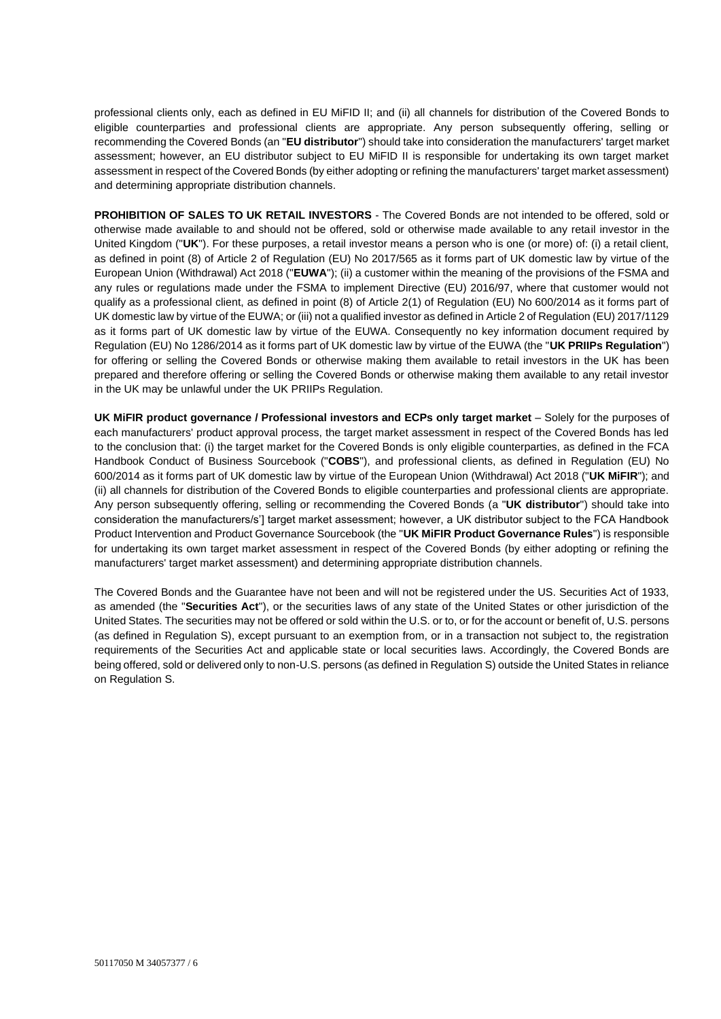professional clients only, each as defined in EU MiFID II; and (ii) all channels for distribution of the Covered Bonds to eligible counterparties and professional clients are appropriate. Any person subsequently offering, selling or recommending the Covered Bonds (an "**EU distributor**") should take into consideration the manufacturers' target market assessment; however, an EU distributor subject to EU MiFID II is responsible for undertaking its own target market assessment in respect of the Covered Bonds (by either adopting or refining the manufacturers' target market assessment) and determining appropriate distribution channels.

**PROHIBITION OF SALES TO UK RETAIL INVESTORS** - The Covered Bonds are not intended to be offered, sold or otherwise made available to and should not be offered, sold or otherwise made available to any retail investor in the United Kingdom ("**UK**"). For these purposes, a retail investor means a person who is one (or more) of: (i) a retail client, as defined in point (8) of Article 2 of Regulation (EU) No 2017/565 as it forms part of UK domestic law by virtue of the European Union (Withdrawal) Act 2018 ("**EUWA**"); (ii) a customer within the meaning of the provisions of the FSMA and any rules or regulations made under the FSMA to implement Directive (EU) 2016/97, where that customer would not qualify as a professional client, as defined in point (8) of Article 2(1) of Regulation (EU) No 600/2014 as it forms part of UK domestic law by virtue of the EUWA; or (iii) not a qualified investor as defined in Article 2 of Regulation (EU) 2017/1129 as it forms part of UK domestic law by virtue of the EUWA. Consequently no key information document required by Regulation (EU) No 1286/2014 as it forms part of UK domestic law by virtue of the EUWA (the "**UK PRIIPs Regulation**") for offering or selling the Covered Bonds or otherwise making them available to retail investors in the UK has been prepared and therefore offering or selling the Covered Bonds or otherwise making them available to any retail investor in the UK may be unlawful under the UK PRIIPs Regulation.

**UK MiFIR product governance / Professional investors and ECPs only target market** – Solely for the purposes of each manufacturers' product approval process, the target market assessment in respect of the Covered Bonds has led to the conclusion that: (i) the target market for the Covered Bonds is only eligible counterparties, as defined in the FCA Handbook Conduct of Business Sourcebook ("**COBS**"), and professional clients, as defined in Regulation (EU) No 600/2014 as it forms part of UK domestic law by virtue of the European Union (Withdrawal) Act 2018 ("**UK MiFIR**"); and (ii) all channels for distribution of the Covered Bonds to eligible counterparties and professional clients are appropriate. Any person subsequently offering, selling or recommending the Covered Bonds (a "**UK distributor**") should take into consideration the manufacturers/s'] target market assessment; however, a UK distributor subject to the FCA Handbook Product Intervention and Product Governance Sourcebook (the "**UK MiFIR Product Governance Rules**") is responsible for undertaking its own target market assessment in respect of the Covered Bonds (by either adopting or refining the manufacturers' target market assessment) and determining appropriate distribution channels.

The Covered Bonds and the Guarantee have not been and will not be registered under the US. Securities Act of 1933, as amended (the "**Securities Act**"), or the securities laws of any state of the United States or other jurisdiction of the United States. The securities may not be offered or sold within the U.S. or to, or for the account or benefit of, U.S. persons (as defined in Regulation S), except pursuant to an exemption from, or in a transaction not subject to, the registration requirements of the Securities Act and applicable state or local securities laws. Accordingly, the Covered Bonds are being offered, sold or delivered only to non-U.S. persons (as defined in Regulation S) outside the United States in reliance on Regulation S.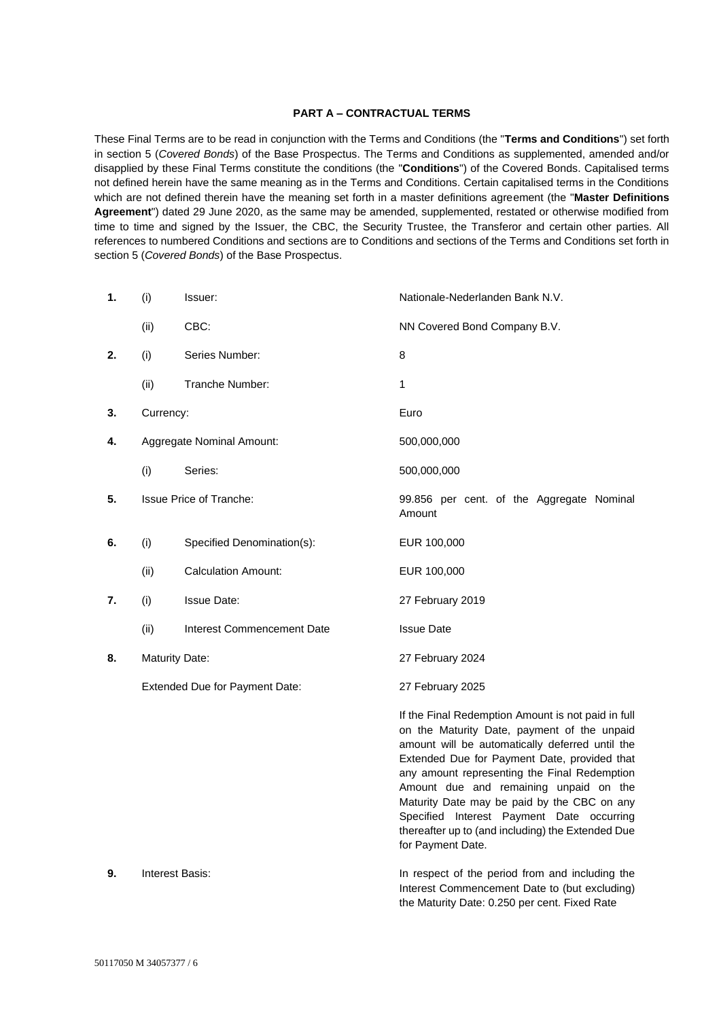### **PART A – CONTRACTUAL TERMS**

These Final Terms are to be read in conjunction with the Terms and Conditions (the "**Terms and Conditions**") set forth in section 5 (*Covered Bonds*) of the Base Prospectus. The Terms and Conditions as supplemented, amended and/or disapplied by these Final Terms constitute the conditions (the "**Conditions**") of the Covered Bonds. Capitalised terms not defined herein have the same meaning as in the Terms and Conditions. Certain capitalised terms in the Conditions which are not defined therein have the meaning set forth in a master definitions agreement (the "**Master Definitions Agreement**") dated 29 June 2020, as the same may be amended, supplemented, restated or otherwise modified from time to time and signed by the Issuer, the CBC, the Security Trustee, the Transferor and certain other parties. All references to numbered Conditions and sections are to Conditions and sections of the Terms and Conditions set forth in section 5 (*Covered Bonds*) of the Base Prospectus.

| 1. | (i)                            | Issuer:                    | Nationale-Nederlanden Bank N.V.                                                                                                                                                                                                                                                                                                                                                                                                                                      |
|----|--------------------------------|----------------------------|----------------------------------------------------------------------------------------------------------------------------------------------------------------------------------------------------------------------------------------------------------------------------------------------------------------------------------------------------------------------------------------------------------------------------------------------------------------------|
|    | (ii)                           | CBC:                       | NN Covered Bond Company B.V.                                                                                                                                                                                                                                                                                                                                                                                                                                         |
| 2. | (i)                            | Series Number:             | 8                                                                                                                                                                                                                                                                                                                                                                                                                                                                    |
|    | (ii)                           | Tranche Number:            | 1                                                                                                                                                                                                                                                                                                                                                                                                                                                                    |
| 3. | Currency:                      |                            | Euro                                                                                                                                                                                                                                                                                                                                                                                                                                                                 |
| 4. | Aggregate Nominal Amount:      |                            | 500,000,000                                                                                                                                                                                                                                                                                                                                                                                                                                                          |
|    | (i)                            | Series:                    | 500,000,000                                                                                                                                                                                                                                                                                                                                                                                                                                                          |
| 5. | <b>Issue Price of Tranche:</b> |                            | 99.856 per cent. of the Aggregate Nominal<br>Amount                                                                                                                                                                                                                                                                                                                                                                                                                  |
| 6. | (i)                            | Specified Denomination(s): | EUR 100,000                                                                                                                                                                                                                                                                                                                                                                                                                                                          |
|    | (ii)                           | <b>Calculation Amount:</b> | EUR 100,000                                                                                                                                                                                                                                                                                                                                                                                                                                                          |
| 7. | (i)                            | <b>Issue Date:</b>         | 27 February 2019                                                                                                                                                                                                                                                                                                                                                                                                                                                     |
|    | (ii)                           | Interest Commencement Date | <b>Issue Date</b>                                                                                                                                                                                                                                                                                                                                                                                                                                                    |
| 8. | <b>Maturity Date:</b>          |                            | 27 February 2024                                                                                                                                                                                                                                                                                                                                                                                                                                                     |
|    | Extended Due for Payment Date: |                            | 27 February 2025                                                                                                                                                                                                                                                                                                                                                                                                                                                     |
|    |                                |                            | If the Final Redemption Amount is not paid in full<br>on the Maturity Date, payment of the unpaid<br>amount will be automatically deferred until the<br>Extended Due for Payment Date, provided that<br>any amount representing the Final Redemption<br>Amount due and remaining unpaid on the<br>Maturity Date may be paid by the CBC on any<br>Specified Interest Payment Date occurring<br>thereafter up to (and including) the Extended Due<br>for Payment Date. |
| 9. | <b>Interest Basis:</b>         |                            | In respect of the period from and including the<br>Interest Commencement Date to (but excluding)                                                                                                                                                                                                                                                                                                                                                                     |

the Maturity Date: 0.250 per cent. Fixed Rate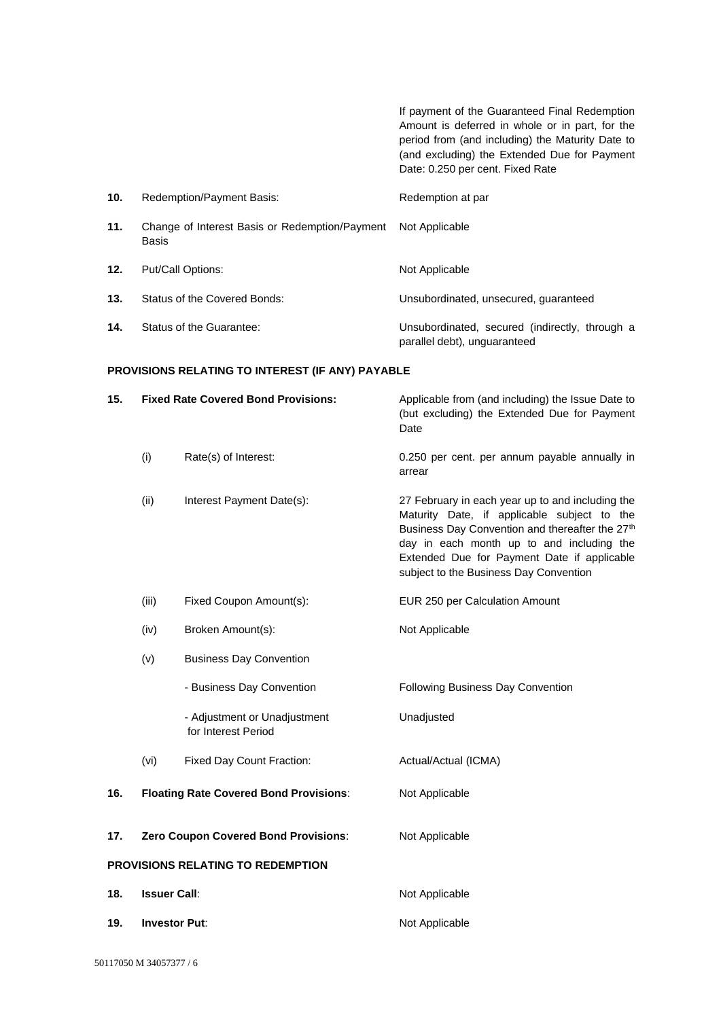If payment of the Guaranteed Final Redemption Amount is deferred in whole or in part, for the period from (and including) the Maturity Date to (and excluding) the Extended Due for Payment Date: 0.250 per cent. Fixed Rate **10.** Redemption/Payment Basis: Redemption at par **11.** Change of Interest Basis or Redemption/Payment Basis Not Applicable 12. Put/Call Options: Not Applicable **13.** Status of the Covered Bonds: Unsubordinated, unsecured, guaranteed **14.** Status of the Guarantee: Unsubordinated, secured (indirectly, through a parallel debt), unguaranteed

## **PROVISIONS RELATING TO INTEREST (IF ANY) PAYABLE**

| 15. | <b>Fixed Rate Covered Bond Provisions:</b> |                                                     | Applicable from (and including) the Issue Date to<br>(but excluding) the Extended Due for Payment<br>Date                                                                                                                                                                                |  |
|-----|--------------------------------------------|-----------------------------------------------------|------------------------------------------------------------------------------------------------------------------------------------------------------------------------------------------------------------------------------------------------------------------------------------------|--|
|     | (i)                                        | Rate(s) of Interest:                                | 0.250 per cent. per annum payable annually in<br>arrear                                                                                                                                                                                                                                  |  |
|     | (ii)                                       | Interest Payment Date(s):                           | 27 February in each year up to and including the<br>Maturity Date, if applicable subject to the<br>Business Day Convention and thereafter the 27th<br>day in each month up to and including the<br>Extended Due for Payment Date if applicable<br>subject to the Business Day Convention |  |
|     | (iii)                                      | Fixed Coupon Amount(s):                             | EUR 250 per Calculation Amount                                                                                                                                                                                                                                                           |  |
|     | (iv)                                       | Broken Amount(s):                                   | Not Applicable                                                                                                                                                                                                                                                                           |  |
|     | (v)                                        | <b>Business Day Convention</b>                      |                                                                                                                                                                                                                                                                                          |  |
|     |                                            | - Business Day Convention                           | Following Business Day Convention                                                                                                                                                                                                                                                        |  |
|     |                                            | - Adjustment or Unadjustment<br>for Interest Period | Unadjusted                                                                                                                                                                                                                                                                               |  |
|     | (vi)                                       | Fixed Day Count Fraction:                           | Actual/Actual (ICMA)                                                                                                                                                                                                                                                                     |  |
| 16. |                                            | <b>Floating Rate Covered Bond Provisions:</b>       | Not Applicable                                                                                                                                                                                                                                                                           |  |
| 17. | Zero Coupon Covered Bond Provisions:       |                                                     | Not Applicable                                                                                                                                                                                                                                                                           |  |
|     | PROVISIONS RELATING TO REDEMPTION          |                                                     |                                                                                                                                                                                                                                                                                          |  |
| 18. | <b>Issuer Call:</b>                        |                                                     | Not Applicable                                                                                                                                                                                                                                                                           |  |
| 19. | <b>Investor Put:</b>                       |                                                     | Not Applicable                                                                                                                                                                                                                                                                           |  |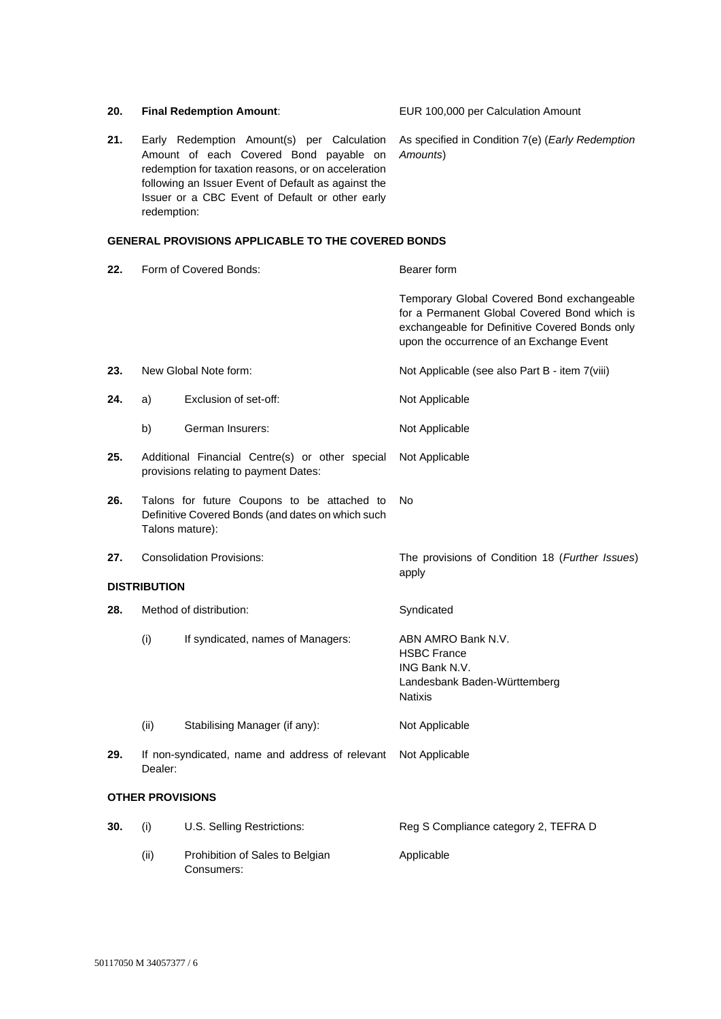| 20. |                                                                                                                                                                                                                                                                      | <b>Final Redemption Amount:</b>                                                                  | EUR 100,000 per Calculation Amount                                                                                                                                                       |
|-----|----------------------------------------------------------------------------------------------------------------------------------------------------------------------------------------------------------------------------------------------------------------------|--------------------------------------------------------------------------------------------------|------------------------------------------------------------------------------------------------------------------------------------------------------------------------------------------|
| 21. | Early Redemption Amount(s) per Calculation<br>Amount of each Covered Bond payable on<br>redemption for taxation reasons, or on acceleration<br>following an Issuer Event of Default as against the<br>Issuer or a CBC Event of Default or other early<br>redemption: |                                                                                                  | As specified in Condition 7(e) (Early Redemption<br>Amounts)                                                                                                                             |
|     |                                                                                                                                                                                                                                                                      | <b>GENERAL PROVISIONS APPLICABLE TO THE COVERED BONDS</b>                                        |                                                                                                                                                                                          |
| 22. | Form of Covered Bonds:                                                                                                                                                                                                                                               |                                                                                                  | Bearer form                                                                                                                                                                              |
|     |                                                                                                                                                                                                                                                                      |                                                                                                  | Temporary Global Covered Bond exchangeable<br>for a Permanent Global Covered Bond which is<br>exchangeable for Definitive Covered Bonds only<br>upon the occurrence of an Exchange Event |
| 23. |                                                                                                                                                                                                                                                                      | New Global Note form:                                                                            | Not Applicable (see also Part B - item 7(viii)                                                                                                                                           |
| 24. | a)                                                                                                                                                                                                                                                                   | Exclusion of set-off:                                                                            | Not Applicable                                                                                                                                                                           |
|     | b)                                                                                                                                                                                                                                                                   | German Insurers:                                                                                 | Not Applicable                                                                                                                                                                           |
| 25. |                                                                                                                                                                                                                                                                      | Additional Financial Centre(s) or other special<br>provisions relating to payment Dates:         | Not Applicable                                                                                                                                                                           |
| 26. | Talons mature):                                                                                                                                                                                                                                                      | Talons for future Coupons to be attached to<br>Definitive Covered Bonds (and dates on which such | No                                                                                                                                                                                       |
| 27. | <b>Consolidation Provisions:</b>                                                                                                                                                                                                                                     |                                                                                                  | The provisions of Condition 18 (Further Issues)<br>apply                                                                                                                                 |
|     | <b>DISTRIBUTION</b>                                                                                                                                                                                                                                                  |                                                                                                  |                                                                                                                                                                                          |
| 28. | Method of distribution:                                                                                                                                                                                                                                              |                                                                                                  | Syndicated                                                                                                                                                                               |
|     | (i)                                                                                                                                                                                                                                                                  | If syndicated, names of Managers:                                                                | ABN AMRO Bank N.V.<br><b>HSBC France</b><br>ING Bank N.V.<br>Landesbank Baden-Württemberg<br>Natixis                                                                                     |
|     | (ii)                                                                                                                                                                                                                                                                 | Stabilising Manager (if any):                                                                    | Not Applicable                                                                                                                                                                           |
| 29. | Dealer:                                                                                                                                                                                                                                                              | If non-syndicated, name and address of relevant                                                  | Not Applicable                                                                                                                                                                           |
|     | <b>OTHER PROVISIONS</b>                                                                                                                                                                                                                                              |                                                                                                  |                                                                                                                                                                                          |
| 30. | (i)                                                                                                                                                                                                                                                                  | U.S. Selling Restrictions:                                                                       | Reg S Compliance category 2, TEFRA D                                                                                                                                                     |
|     | (ii)                                                                                                                                                                                                                                                                 | Prohibition of Sales to Belgian                                                                  | Applicable                                                                                                                                                                               |

Consumers: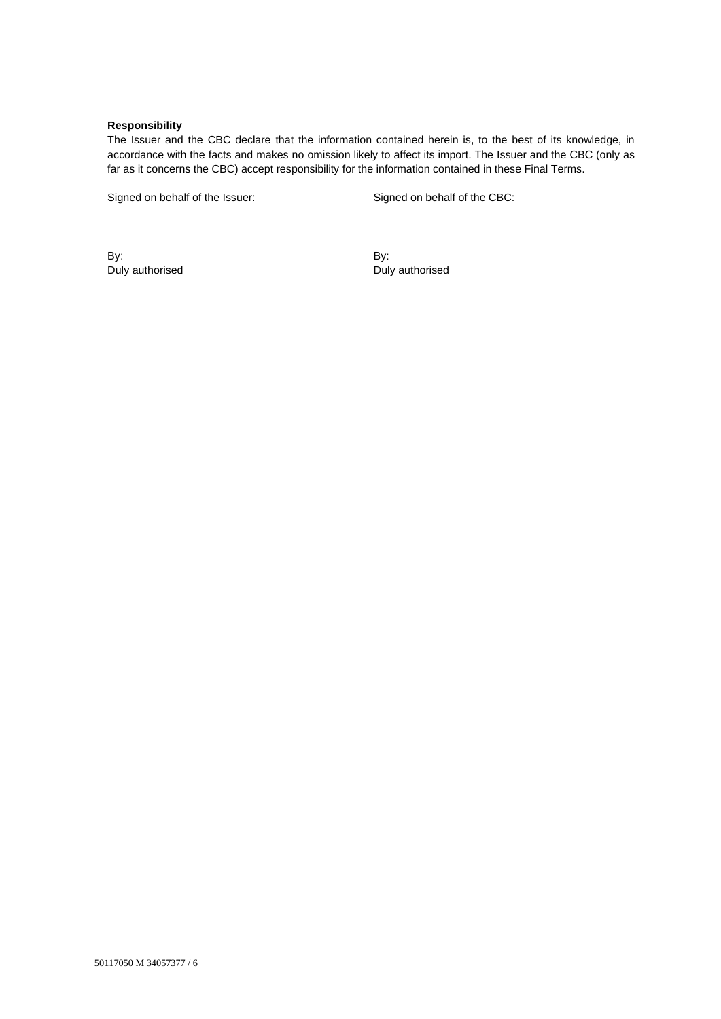## **Responsibility**

The Issuer and the CBC declare that the information contained herein is, to the best of its knowledge, in accordance with the facts and makes no omission likely to affect its import. The Issuer and the CBC (only as far as it concerns the CBC) accept responsibility for the information contained in these Final Terms.

Signed on behalf of the Issuer: Signed on behalf of the CBC:

By: Duly authorised By: Duly authorised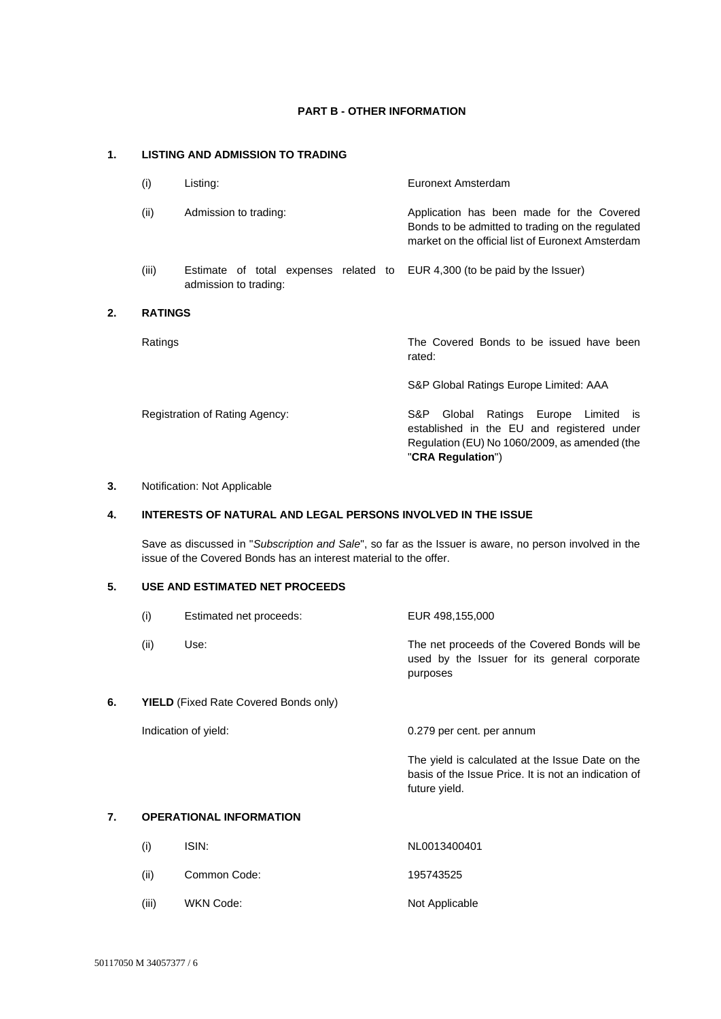## **PART B - OTHER INFORMATION**

# **1. LISTING AND ADMISSION TO TRADING**

| (i)            | Listing:                                                       | Euronext Amsterdam                                                                                                                                                        |
|----------------|----------------------------------------------------------------|---------------------------------------------------------------------------------------------------------------------------------------------------------------------------|
| (ii)           | Admission to trading:                                          | Application has been made for the Covered<br>Bonds to be admitted to trading on the regulated<br>market on the official list of Euronext Amsterdam                        |
| (iii)          | Estimate of total expenses related to<br>admission to trading: | EUR 4,300 (to be paid by the Issuer)                                                                                                                                      |
| <b>RATINGS</b> |                                                                |                                                                                                                                                                           |
| Ratings        |                                                                | The Covered Bonds to be issued have been<br>rated:                                                                                                                        |
|                |                                                                | S&P Global Ratings Europe Limited: AAA                                                                                                                                    |
|                | Registration of Rating Agency:                                 | Ratings Europe Limited<br>S&P.<br>Global<br><b>IS</b><br>established in the EU and registered under<br>Regulation (EU) No 1060/2009, as amended (the<br>"CRA Regulation") |

## **3.** Notification: Not Applicable

**2. RATINGS**

# **4. INTERESTS OF NATURAL AND LEGAL PERSONS INVOLVED IN THE ISSUE**

Save as discussed in "*Subscription and Sale*", so far as the Issuer is aware, no person involved in the issue of the Covered Bonds has an interest material to the offer.

# **5. USE AND ESTIMATED NET PROCEEDS**

|    | (i)                                          | Estimated net proceeds:        | EUR 498,155,000                                                                                                           |
|----|----------------------------------------------|--------------------------------|---------------------------------------------------------------------------------------------------------------------------|
|    | (ii)                                         | Use:                           | The net proceeds of the Covered Bonds will be<br>used by the Issuer for its general corporate<br>purposes                 |
| 6. | <b>YIELD</b> (Fixed Rate Covered Bonds only) |                                |                                                                                                                           |
|    |                                              | Indication of yield:           | 0.279 per cent. per annum                                                                                                 |
|    |                                              |                                | The yield is calculated at the Issue Date on the<br>basis of the Issue Price. It is not an indication of<br>future yield. |
| 7. |                                              | <b>OPERATIONAL INFORMATION</b> |                                                                                                                           |

| (i)   | ISIN:        | NL0013400401   |
|-------|--------------|----------------|
| (ii)  | Common Code: | 195743525      |
| (iii) | WKN Code:    | Not Applicable |